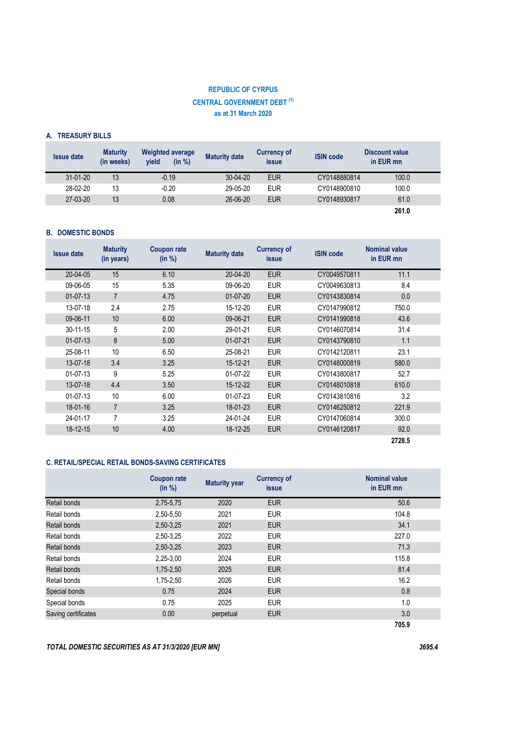# **REPUBLIC OF CYRPUS CENTRAL GOVERNMENT DEBT (1) as at 31 March 2020**

### **Α. TREASURY BILLS**

| <b>Issue date</b> | <b>Maturity</b><br>(in weeks) | <b>Weighted average</b><br>(in %)<br>vield | <b>Maturity date</b> | <b>Currency of</b><br><b>issue</b> | <b>ISIN code</b> | Discount value<br>in EUR mn |
|-------------------|-------------------------------|--------------------------------------------|----------------------|------------------------------------|------------------|-----------------------------|
| 31-01-20          | 13                            | $-0.19$                                    | 30-04-20             | <b>EUR</b>                         | CY0148880814     | 100.0                       |
| 28-02-20          | 13                            | $-0.20$                                    | 29-05-20             | <b>EUR</b>                         | CY0148900810     | 100.0                       |
| 27-03-20          | 13                            | 0.08                                       | 26-06-20             | <b>EUR</b>                         | CY0148930817     | 61.0                        |
|                   |                               |                                            |                      |                                    |                  | 261.0                       |

### **Β. DOMESTIC BONDS**

| <b>Issue date</b> | <b>Maturity</b><br>(in years) | <b>Coupon rate</b><br>(in %) | <b>Maturity date</b> | <b>Currency of</b><br><b>issue</b> | <b>ISIN code</b> | <b>Nominal value</b><br>in EUR mn |  |
|-------------------|-------------------------------|------------------------------|----------------------|------------------------------------|------------------|-----------------------------------|--|
| 20-04-05          | 15                            | 6.10                         | 20-04-20             | <b>EUR</b>                         | CY0049570811     | 11.1                              |  |
| 09-06-05          | 15                            | 5.35                         | 09-06-20             | <b>EUR</b>                         | CY0049630813     | 8.4                               |  |
| $01-07-13$        | $\overline{7}$                | 4.75                         | $01-07-20$           | <b>EUR</b>                         | CY0143830814     | 0.0                               |  |
| 13-07-18          | 2.4                           | 2.75                         | 15-12-20             | <b>EUR</b>                         | CY0147990812     | 750.0                             |  |
| 09-06-11          | 10                            | 6.00                         | 09-06-21             | <b>EUR</b>                         | CY0141990818     | 43.6                              |  |
| 30-11-15          | 5                             | 2.00                         | 29-01-21             | <b>EUR</b>                         | CY0146070814     | 31.4                              |  |
| $01-07-13$        | 8                             | 5.00                         | $01-07-21$           | <b>EUR</b>                         | CY0143790810     | 1.1                               |  |
| 25-08-11          | 10                            | 6.50                         | 25-08-21             | <b>EUR</b>                         | CY0142120811     | 23.1                              |  |
| 13-07-18          | 3.4                           | 3.25                         | 15-12-21             | <b>EUR</b>                         | CY0148000819     | 580.0                             |  |
| 01-07-13          | 9                             | 5.25                         | 01-07-22             | <b>EUR</b>                         | CY0143800817     | 52.7                              |  |
| 13-07-18          | 4.4                           | 3.50                         | 15-12-22             | <b>EUR</b>                         | CY0148010818     | 610.0                             |  |
| 01-07-13          | 10                            | 6.00                         | 01-07-23             | <b>EUR</b>                         | CY0143810816     | 3.2                               |  |
| 18-01-16          | $\overline{7}$                | 3.25                         | 18-01-23             | <b>EUR</b>                         | CY0146250812     | 221.9                             |  |
| 24-01-17          | 7                             | 3.25                         | 24-01-24             | <b>EUR</b>                         | CY0147060814     | 300.0                             |  |
| 18-12-15          | 10                            | 4.00                         | 18-12-25             | <b>EUR</b>                         | CY0146120817     | 92.0                              |  |
|                   |                               |                              |                      |                                    |                  | 2728.5                            |  |

# **C. RETAIL/SPECIAL RETAIL BONDS-SAVING CERTIFICATES**

|                     | <b>Coupon rate</b><br>(in %) | <b>Maturity year</b> | <b>Currency of</b><br><i>issue</i> | <b>Nominal value</b><br>in EUR mn |
|---------------------|------------------------------|----------------------|------------------------------------|-----------------------------------|
| Retail bonds        | 2,75-5,75                    | 2020                 | <b>EUR</b>                         | 50.6                              |
| Retail bonds        | 2,50-5,50                    | 2021                 | <b>EUR</b>                         | 104.8                             |
| Retail bonds        | 2,50-3,25                    | 2021                 | <b>EUR</b>                         | 34.1                              |
| Retail bonds        | 2,50-3,25                    | 2022                 | <b>EUR</b>                         | 227.0                             |
| Retail bonds        | 2,50-3,25                    | 2023                 | <b>EUR</b>                         | 71.3                              |
| Retail bonds        | 2,25-3,00                    | 2024                 | <b>EUR</b>                         | 115.8                             |
| Retail bonds        | 1,75-2,50                    | 2025                 | <b>EUR</b>                         | 81.4                              |
| Retail bonds        | 1,75-2,50                    | 2026                 | <b>EUR</b>                         | 16.2                              |
| Special bonds       | 0.75                         | 2024                 | <b>EUR</b>                         | 0.8                               |
| Special bonds       | 0.75                         | 2025                 | <b>EUR</b>                         | 1.0                               |
| Saving certificates | 0.00                         | perpetual            | <b>EUR</b>                         | 3.0                               |
|                     |                              |                      |                                    | 705.9                             |

*TOTAL DOMESTIC SECURITIES AS AT 31/3/2020 [EUR MN] 3695.4*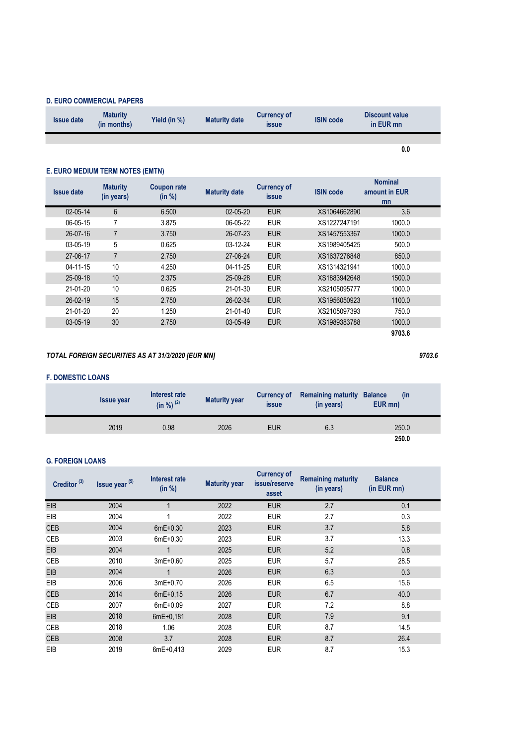# **D. EURO COMMERCIAL PAPERS**

| <b>Issue date</b> | <b>Maturity</b><br>(in months) | Yield (in %) | <b>Maturity date</b> | <b>Currency of</b><br>issue | <b>ISIN code</b> | Discount value<br>in EUR mn |  |
|-------------------|--------------------------------|--------------|----------------------|-----------------------------|------------------|-----------------------------|--|
|                   |                                |              |                      |                             |                  |                             |  |

# **Ε. EURO MEDIUM TERM NOTES (EMTN)**

| <b>Issue date</b> | <b>Maturity</b><br>(in years) | <b>Coupon rate</b><br>(in %) | <b>Maturity date</b> | <b>Currency of</b><br><i>issue</i> | <b>ISIN code</b> | <b>Nominal</b><br>amount in EUR<br>mn |  |
|-------------------|-------------------------------|------------------------------|----------------------|------------------------------------|------------------|---------------------------------------|--|
| 02-05-14          | $6\phantom{1}$                | 6.500                        | $02 - 05 - 20$       | <b>EUR</b>                         | XS1064662890     | 3.6                                   |  |
| 06-05-15          | 7                             | 3.875                        | 06-05-22             | <b>EUR</b>                         | XS1227247191     | 1000.0                                |  |
| $26 - 07 - 16$    | $\overline{7}$                | 3.750                        | 26-07-23             | <b>EUR</b>                         | XS1457553367     | 1000.0                                |  |
| 03-05-19          | 5                             | 0.625                        | 03-12-24             | <b>EUR</b>                         | XS1989405425     | 500.0                                 |  |
| 27-06-17          | $\overline{7}$                | 2.750                        | 27-06-24             | <b>EUR</b>                         | XS1637276848     | 850.0                                 |  |
| 04-11-15          | 10                            | 4.250                        | 04-11-25             | <b>EUR</b>                         | XS1314321941     | 1000.0                                |  |
| 25-09-18          | 10                            | 2.375                        | 25-09-28             | <b>EUR</b>                         | XS1883942648     | 1500.0                                |  |
| 21-01-20          | 10                            | 0.625                        | 21-01-30             | <b>EUR</b>                         | XS2105095777     | 1000.0                                |  |
| 26-02-19          | 15                            | 2.750                        | 26-02-34             | <b>EUR</b>                         | XS1956050923     | 1100.0                                |  |
| 21-01-20          | 20                            | 1.250                        | 21-01-40             | <b>EUR</b>                         | XS2105097393     | 750.0                                 |  |
| 03-05-19          | 30                            | 2.750                        | 03-05-49             | <b>EUR</b>                         | XS1989383788     | 1000.0                                |  |
|                   |                               |                              |                      |                                    |                  | 9703.6                                |  |

# *TOTAL FOREIGN SECURITIES AS AT 31/3/2020 [EUR MN] 9703.6*

### **F. DOMESTIC LOANS**

| <b>Issue year</b> | Interest rate<br>$(in \% )$ <sup>(2)</sup> | <b>Maturity year</b> | <b>Currency of</b><br><i>issue</i> | <b>Remaining maturity Balance</b><br>(in years) | (in<br>EUR mn) |
|-------------------|--------------------------------------------|----------------------|------------------------------------|-------------------------------------------------|----------------|
| 2019              | 0.98                                       | 2026                 | <b>EUR</b>                         | 6.3                                             | 250.0          |
|                   |                                            |                      |                                    |                                                 | 250.0          |

### **G. FOREIGN LOANS**

| Creditor <sup>(3)</sup> | Issue year (5) | Interest rate<br>(in %) | <b>Maturity year</b> | <b>Currency of</b><br>issue/reserve<br>asset | <b>Remaining maturity</b><br>(in years) | <b>Balance</b><br>(in EUR mn) |
|-------------------------|----------------|-------------------------|----------------------|----------------------------------------------|-----------------------------------------|-------------------------------|
| <b>EIB</b>              | 2004           |                         | 2022                 | <b>EUR</b>                                   | 2.7                                     | 0.1                           |
| EIB                     | 2004           |                         | 2022                 | <b>EUR</b>                                   | 2.7                                     | 0.3                           |
| <b>CEB</b>              | 2004           | $6mE+0.30$              | 2023                 | <b>EUR</b>                                   | 3.7                                     | 5.8                           |
| CEB                     | 2003           | $6mE+0.30$              | 2023                 | <b>EUR</b>                                   | 3.7                                     | 13.3                          |
| <b>EIB</b>              | 2004           |                         | 2025                 | <b>EUR</b>                                   | 5.2                                     | 0.8                           |
| CEB                     | 2010           | $3mE+0.60$              | 2025                 | <b>EUR</b>                                   | 5.7                                     | 28.5                          |
| <b>EIB</b>              | 2004           |                         | 2026                 | <b>EUR</b>                                   | 6.3                                     | 0.3                           |
| EIB                     | 2006           | $3mE+0.70$              | 2026                 | <b>EUR</b>                                   | 6.5                                     | 15.6                          |
| <b>CEB</b>              | 2014           | $6mE+0.15$              | 2026                 | <b>EUR</b>                                   | 6.7                                     | 40.0                          |
| CEB                     | 2007           | $6mE+0.09$              | 2027                 | <b>EUR</b>                                   | 7.2                                     | 8.8                           |
| <b>EIB</b>              | 2018           | $6mE+0,181$             | 2028                 | <b>EUR</b>                                   | 7.9                                     | 9.1                           |
| CEB                     | 2018           | 1.06                    | 2028                 | <b>EUR</b>                                   | 8.7                                     | 14.5                          |
| <b>CEB</b>              | 2008           | 3.7                     | 2028                 | <b>EUR</b>                                   | 8.7                                     | 26.4                          |
| EIB                     | 2019           | $6mE + 0.413$           | 2029                 | <b>EUR</b>                                   | 8.7                                     | 15.3                          |

**0.0**